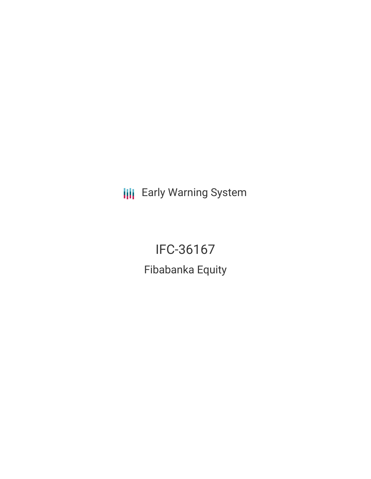**III** Early Warning System

IFC-36167 Fibabanka Equity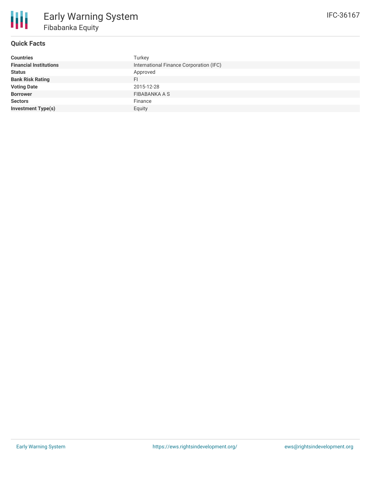

# **Quick Facts**

| <b>Countries</b>              | Turkey                                  |
|-------------------------------|-----------------------------------------|
| <b>Financial Institutions</b> | International Finance Corporation (IFC) |
| <b>Status</b>                 | Approved                                |
| <b>Bank Risk Rating</b>       | FI.                                     |
| <b>Voting Date</b>            | 2015-12-28                              |
| <b>Borrower</b>               | FIBABANKA A S                           |
| <b>Sectors</b>                | Finance                                 |
| <b>Investment Type(s)</b>     | Equity                                  |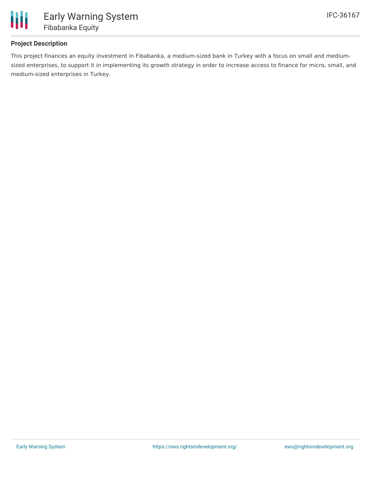

# **Project Description**

This project finances an equity investment in Fibabanka, a medium-sized bank in Turkey with a focus on small and mediumsized enterprises, to support it in implementing its growth strategy in order to increase access to finance for micro, small, and medium-sized enterprises in Turkey.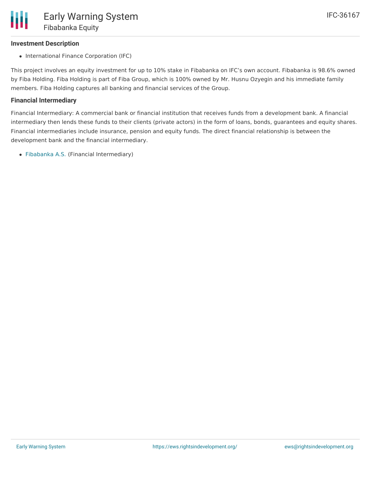## **Investment Description**

• International Finance Corporation (IFC)

This project involves an equity investment for up to 10% stake in Fibabanka on IFC's own account. Fibabanka is 98.6% owned by Fiba Holding. Fiba Holding is part of Fiba Group, which is 100% owned by Mr. Husnu Ozyegin and his immediate family members. Fiba Holding captures all banking and financial services of the Group.

### **Financial Intermediary**

Financial Intermediary: A commercial bank or financial institution that receives funds from a development bank. A financial intermediary then lends these funds to their clients (private actors) in the form of loans, bonds, guarantees and equity shares. Financial intermediaries include insurance, pension and equity funds. The direct financial relationship is between the development bank and the financial intermediary.

[Fibabanka](file:///actor/999/) A.S. (Financial Intermediary)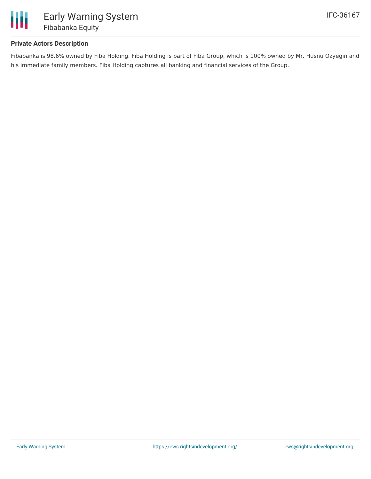

## **Private Actors Description**

Fibabanka is 98.6% owned by Fiba Holding. Fiba Holding is part of Fiba Group, which is 100% owned by Mr. Husnu Ozyegin and his immediate family members. Fiba Holding captures all banking and financial services of the Group.